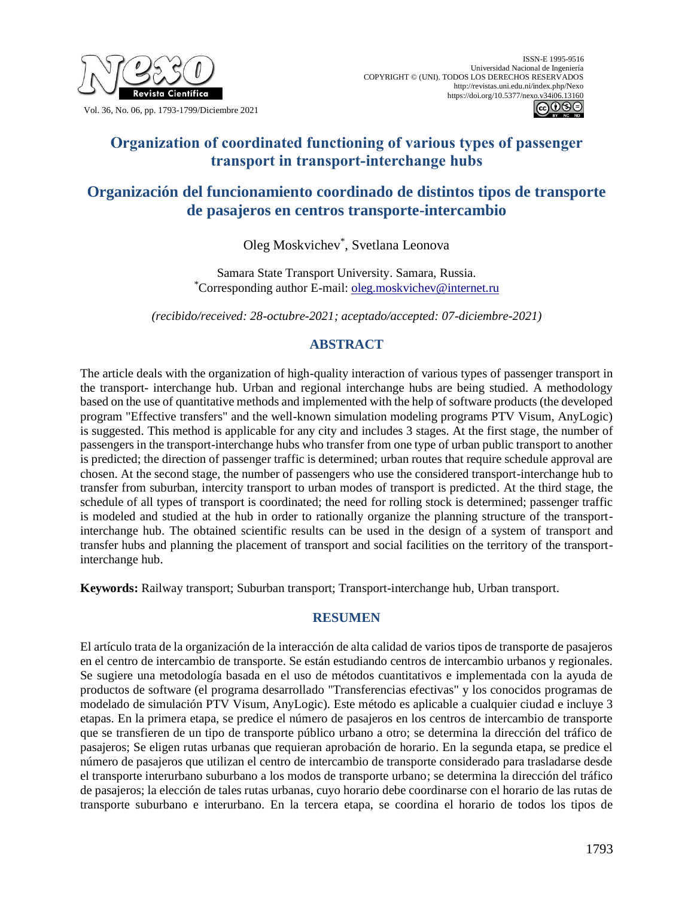

Vol. 36, No. 06, pp. 1793-1799/Diciembre 2021



# **Organization of coordinated functioning of various types of passenger transport in transport-interchange hubs**

# **Organización del funcionamiento coordinado de distintos tipos de transporte de pasajeros en centros transporte-intercambio**

Oleg Moskvichev\* , Svetlana Leonova

Samara State Transport University. Samara, Russia. \*Corresponding author E-mail: [oleg.moskvichev@internet.ru](mailto:oleg.moskvichev@internet.ru)

*(recibido/received: 28-octubre-2021; aceptado/accepted: 07-diciembre-2021)*

## **ABSTRACT**

The article deals with the organization of high-quality interaction of various types of passenger transport in the transport- interchange hub. Urban and regional interchange hubs are being studied. A methodology based on the use of quantitative methods and implemented with the help of software products (the developed program "Effective transfers" and the well-known simulation modeling programs PTV Visum, AnyLogic) is suggested. This method is applicable for any city and includes 3 stages. At the first stage, the number of passengers in the transport-interchange hubs who transfer from one type of urban public transport to another is predicted; the direction of passenger traffic is determined; urban routes that require schedule approval are chosen. At the second stage, the number of passengers who use the considered transport-interchange hub to transfer from suburban, intercity transport to urban modes of transport is predicted. At the third stage, the schedule of all types of transport is coordinated; the need for rolling stock is determined; passenger traffic is modeled and studied at the hub in order to rationally organize the planning structure of the transportinterchange hub. The obtained scientific results can be used in the design of a system of transport and transfer hubs and planning the placement of transport and social facilities on the territory of the transportinterchange hub.

**Keywords:** Railway transport; Suburban transport; Transport-interchange hub, Urban transport.

## **RESUMEN**

El artículo trata de la organización de la interacción de alta calidad de varios tipos de transporte de pasajeros en el centro de intercambio de transporte. Se están estudiando centros de intercambio urbanos y regionales. Se sugiere una metodología basada en el uso de métodos cuantitativos e implementada con la ayuda de productos de software (el programa desarrollado "Transferencias efectivas" y los conocidos programas de modelado de simulación PTV Visum, AnyLogic). Este método es aplicable a cualquier ciudad e incluye 3 etapas. En la primera etapa, se predice el número de pasajeros en los centros de intercambio de transporte que se transfieren de un tipo de transporte público urbano a otro; se determina la dirección del tráfico de pasajeros; Se eligen rutas urbanas que requieran aprobación de horario. En la segunda etapa, se predice el número de pasajeros que utilizan el centro de intercambio de transporte considerado para trasladarse desde el transporte interurbano suburbano a los modos de transporte urbano; se determina la dirección del tráfico de pasajeros; la elección de tales rutas urbanas, cuyo horario debe coordinarse con el horario de las rutas de transporte suburbano e interurbano. En la tercera etapa, se coordina el horario de todos los tipos de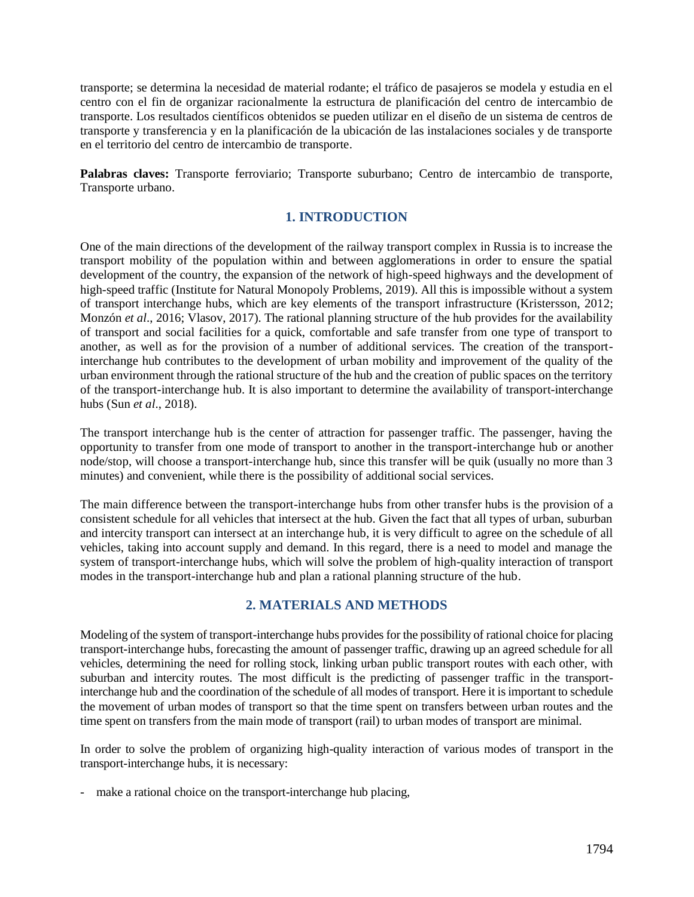transporte; se determina la necesidad de material rodante; el tráfico de pasajeros se modela y estudia en el centro con el fin de organizar racionalmente la estructura de planificación del centro de intercambio de transporte. Los resultados científicos obtenidos se pueden utilizar en el diseño de un sistema de centros de transporte y transferencia y en la planificación de la ubicación de las instalaciones sociales y de transporte en el territorio del centro de intercambio de transporte.

**Palabras claves:** Transporte ferroviario; Transporte suburbano; Centro de intercambio de transporte, Transporte urbano.

## **1. INTRODUCTION**

One of the main directions of the development of the railway transport complex in Russia is to increase the transport mobility of the population within and between agglomerations in order to ensure the spatial development of the country, the expansion of the network of high-speed highways and the development of high-speed traffic (Institute for Natural Monopoly Problems, 2019). All this is impossible without a system of transport interchange hubs, which are key elements of the transport infrastructure (Kristersson, 2012; Monzón *et al*., 2016; Vlasov, 2017). The rational planning structure of the hub provides for the availability of transport and social facilities for a quick, comfortable and safe transfer from one type of transport to another, as well as for the provision of a number of additional services. The creation of the transportinterchange hub contributes to the development of urban mobility and improvement of the quality of the urban environment through the rational structure of the hub and the creation of public spaces on the territory of the transport-interchange hub. It is also important to determine the availability of transport-interchange hubs (Sun *et al*., 2018).

The transport interchange hub is the center of attraction for passenger traffic. The passenger, having the opportunity to transfer from one mode of transport to another in the transport-interchange hub or another node/stop, will choose a transport-interchange hub, since this transfer will be quik (usually no more than 3 minutes) and convenient, while there is the possibility of additional social services.

The main difference between the transport-interchange hubs from other transfer hubs is the provision of a consistent schedule for all vehicles that intersect at the hub. Given the fact that all types of urban, suburban and intercity transport can intersect at an interchange hub, it is very difficult to agree on the schedule of all vehicles, taking into account supply and demand. In this regard, there is a need to model and manage the system of transport-interchange hubs, which will solve the problem of high-quality interaction of transport modes in the transport-interchange hub and plan a rational planning structure of the hub.

#### **2. MATERIALS AND METHODS**

Modeling of the system of transport-interchange hubs provides for the possibility of rational choice for placing transport-interchange hubs, forecasting the amount of passenger traffic, drawing up an agreed schedule for all vehicles, determining the need for rolling stock, linking urban public transport routes with each other, with suburban and intercity routes. The most difficult is the predicting of passenger traffic in the transportinterchange hub and the coordination of the schedule of all modes of transport. Here it is important to schedule the movement of urban modes of transport so that the time spent on transfers between urban routes and the time spent on transfers from the main mode of transport (rail) to urban modes of transport are minimal.

In order to solve the problem of organizing high-quality interaction of various modes of transport in the transport-interchange hubs, it is necessary:

- make a rational choice on the transport-interchange hub placing,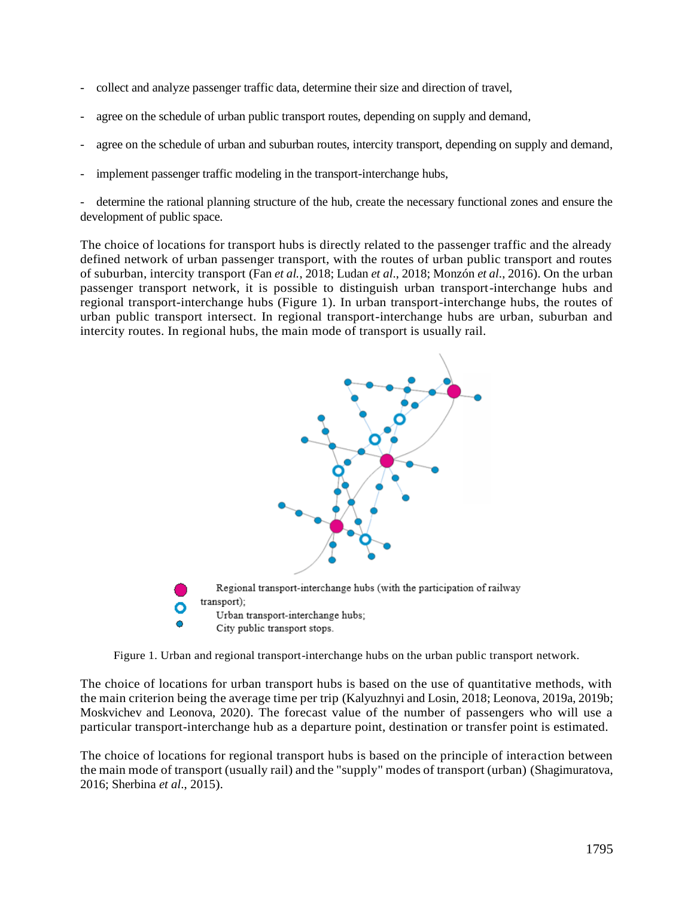- collect and analyze passenger traffic data, determine their size and direction of travel,
- agree on the schedule of urban public transport routes, depending on supply and demand,
- agree on the schedule of urban and suburban routes, intercity transport, depending on supply and demand,
- implement passenger traffic modeling in the transport-interchange hubs,

- determine the rational planning structure of the hub, create the necessary functional zones and ensure the development of public space.

The choice of locations for transport hubs is directly related to the passenger traffic and the already defined network of urban passenger transport, with the routes of urban public transport and routes of suburban, intercity transport (Fan *et al.*, 2018; Ludan *et al*., 2018; Monzón *et al*., 2016). On the urban passenger transport network, it is possible to distinguish urban transport-interchange hubs and regional transport-interchange hubs (Figure 1). In urban transport-interchange hubs, the routes of urban public transport intersect. In regional transport-interchange hubs are urban, suburban and intercity routes. In regional hubs, the main mode of transport is usually rail.



Figure 1. Urban and regional transport-interchange hubs on the urban public transport network.

The choice of locations for urban transport hubs is based on the use of quantitative methods, with the main criterion being the average time per trip (Kalyuzhnyi and Losin, 2018; Leonova, 2019a, 2019b; Moskvichev and Leonova, 2020). The forecast value of the number of passengers who will use a particular transport-interchange hub as a departure point, destination or transfer point is estimated.

The choice of locations for regional transport hubs is based on the principle of interaction between the main mode of transport (usually rail) and the "supply" modes of transport (urban) (Shagimuratova, 2016; Sherbina *et al*., 2015).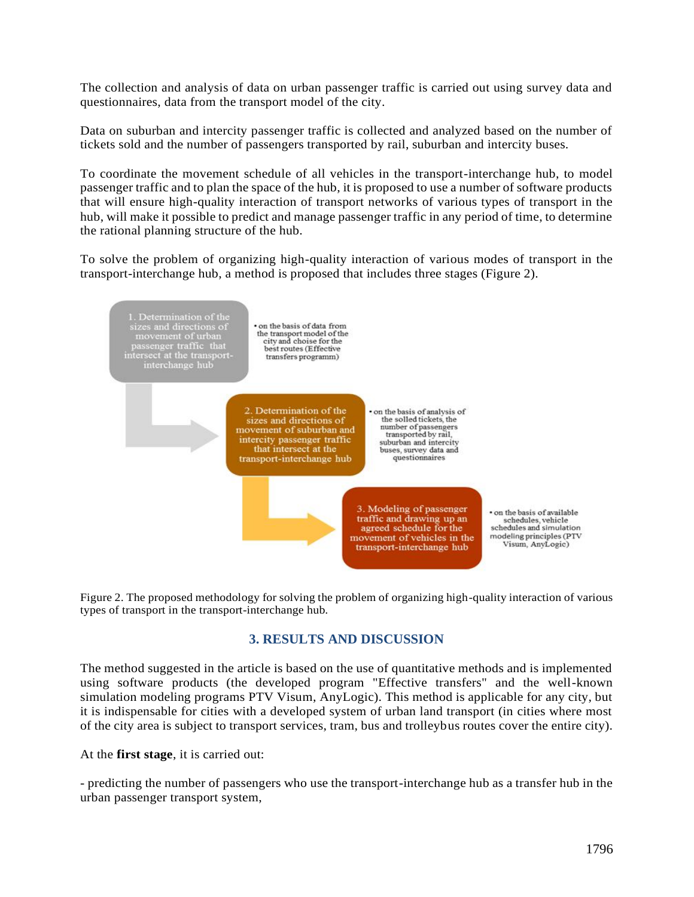The collection and analysis of data on urban passenger traffic is carried out using survey data and questionnaires, data from the transport model of the city.

Data on suburban and intercity passenger traffic is collected and analyzed based on the number of tickets sold and the number of passengers transported by rail, suburban and intercity buses.

To coordinate the movement schedule of all vehicles in the transport-interchange hub, to model passenger traffic and to plan the space of the hub, it is proposed to use a number of software products that will ensure high-quality interaction of transport networks of various types of transport in the hub, will make it possible to predict and manage passenger traffic in any period of time, to determine the rational planning structure of the hub.

To solve the problem of organizing high-quality interaction of various modes of transport in the transport-interchange hub, a method is proposed that includes three stages (Figure 2).



Figure 2. The proposed methodology for solving the problem of organizing high-quality interaction of various types of transport in the transport-interchange hub.

#### **3. RESULTS AND DISCUSSION**

The method suggested in the article is based on the use of quantitative methods and is implemented using software products (the developed program "Effective transfers" and the well-known simulation modeling programs PTV Visum, AnyLogic). This method is applicable for any city, but it is indispensable for cities with a developed system of urban land transport (in cities where most of the city area is subject to transport services, tram, bus and trolleybus routes cover the entire city).

At the **first stage**, it is carried out:

- predicting the number of passengers who use the transport-interchange hub as a transfer hub in the urban passenger transport system,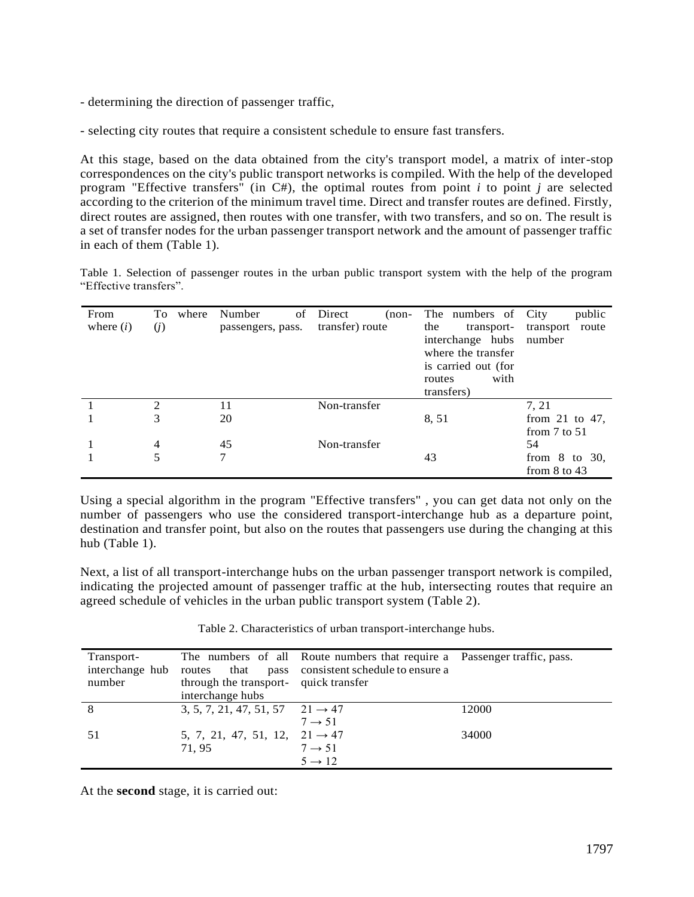- determining the direction of passenger traffic,

- selecting city routes that require a consistent schedule to ensure fast transfers.

At this stage, based on the data obtained from the city's transport model, a matrix of inter-stop correspondences on the city's public transport networks is compiled. With the help of the developed program "Effective transfers" (in C#), the optimal routes from point *i* to point *j* are selected according to the criterion of the minimum travel time. Direct and transfer routes are defined. Firstly, direct routes are assigned, then routes with one transfer, with two transfers, and so on. The result is a set of transfer nodes for the urban passenger transport network and the amount of passenger traffic in each of them (Table 1).

Table 1. Selection of passenger routes in the urban public transport system with the help of the program "Effective transfers".

| From        | To.            | where | Number<br>οf      | Direct<br>$(non-$ | The numbers of City | public             |
|-------------|----------------|-------|-------------------|-------------------|---------------------|--------------------|
| where $(i)$ | (j)            |       | passengers, pass. | transfer) route   | the<br>transport-   | transport<br>route |
|             |                |       |                   |                   | interchange hubs    | number             |
|             |                |       |                   |                   | where the transfer  |                    |
|             |                |       |                   |                   | is carried out (for |                    |
|             |                |       |                   |                   | with<br>routes      |                    |
|             |                |       |                   |                   | transfers)          |                    |
|             | $\mathfrak{D}$ |       | 11                | Non-transfer      |                     | 7, 21              |
|             | 3              |       | 20                |                   | 8, 51               | from 21 to 47,     |
|             |                |       |                   |                   |                     | from $7$ to $51$   |
|             | $\overline{4}$ |       | 45                | Non-transfer      |                     | 54                 |
|             | 5              |       | 7                 |                   | 43                  | from $8$ to $30$ , |
|             |                |       |                   |                   |                     | from $8$ to $43$   |

Using a special algorithm in the program "Effective transfers" , you can get data not only on the number of passengers who use the considered transport-interchange hub as a departure point, destination and transfer point, but also on the routes that passengers use during the changing at this hub (Table 1).

Next, a list of all transport-interchange hubs on the urban passenger transport network is compiled, indicating the projected amount of passenger traffic at the hub, intersecting routes that require an agreed schedule of vehicles in the urban public transport system (Table 2).

Table 2. Characteristics of urban transport-interchange hubs.

| Transport-<br>number | through the transport- quick transfer<br>interchange hubs | The numbers of all Route numbers that require a Passenger traffic, pass.<br>interchange hub routes that pass consistent schedule to ensure a |       |
|----------------------|-----------------------------------------------------------|----------------------------------------------------------------------------------------------------------------------------------------------|-------|
|                      | 3, 5, 7, 21, 47, 51, 57 $21 \rightarrow 47$               | $7 \rightarrow 51$                                                                                                                           | 12000 |
| 51                   | 5, 7, 21, 47, 51, 12, $21 \rightarrow 47$<br>71, 95       | $7 \rightarrow 51$<br>$5 \rightarrow 12$                                                                                                     | 34000 |

At the **second** stage, it is carried out: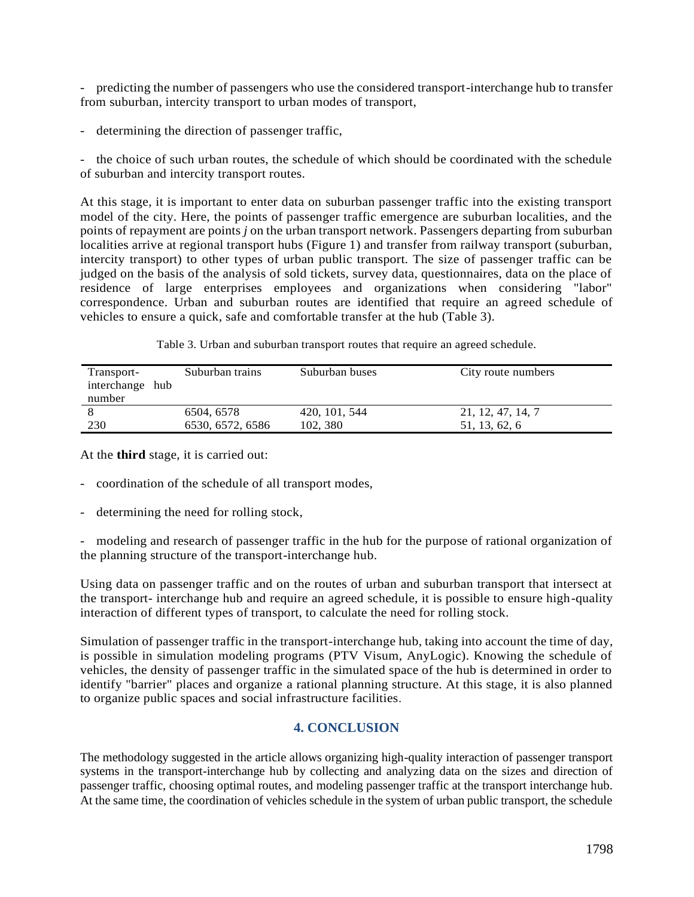- predicting the number of passengers who use the considered transport-interchange hub to transfer from suburban, intercity transport to urban modes of transport,

- determining the direction of passenger traffic,

- the choice of such urban routes, the schedule of which should be coordinated with the schedule of suburban and intercity transport routes.

At this stage, it is important to enter data on suburban passenger traffic into the existing transport model of the city. Here, the points of passenger traffic emergence are suburban localities, and the points of repayment are points *j* on the urban transport network. Passengers departing from suburban localities arrive at regional transport hubs (Figure 1) and transfer from railway transport (suburban, intercity transport) to other types of urban public transport. The size of passenger traffic can be judged on the basis of the analysis of sold tickets, survey data, questionnaires, data on the place of residence of large enterprises employees and organizations when considering "labor" correspondence. Urban and suburban routes are identified that require an agreed schedule of vehicles to ensure a quick, safe and comfortable transfer at the hub (Table 3).

Table 3. Urban and suburban transport routes that require an agreed schedule.

| Transport-<br>interchange hub | Suburban trains  | Suburban buses | City route numbers |
|-------------------------------|------------------|----------------|--------------------|
| number                        |                  |                |                    |
|                               | 6504, 6578       | 420, 101, 544  | 21, 12, 47, 14, 7  |
| 230                           | 6530, 6572, 6586 | 102, 380       | 51, 13, 62, 6      |

At the **third** stage, it is carried out:

- coordination of the schedule of all transport modes,
- determining the need for rolling stock,

- modeling and research of passenger traffic in the hub for the purpose of rational organization of the planning structure of the transport-interchange hub.

Using data on passenger traffic and on the routes of urban and suburban transport that intersect at the transport- interchange hub and require an agreed schedule, it is possible to ensure high-quality interaction of different types of transport, to calculate the need for rolling stock.

Simulation of passenger traffic in the transport-interchange hub, taking into account the time of day, is possible in simulation modeling programs (PTV Visum, AnyLogic). Knowing the schedule of vehicles, the density of passenger traffic in the simulated space of the hub is determined in order to identify "barrier" places and organize a rational planning structure. At this stage, it is also planned to organize public spaces and social infrastructure facilities.

## **4. CONCLUSION**

The methodology suggested in the article allows organizing high-quality interaction of passenger transport systems in the transport-interchange hub by collecting and analyzing data on the sizes and direction of passenger traffic, choosing optimal routes, and modeling passenger traffic at the transport interchange hub. At the same time, the coordination of vehicles schedule in the system of urban public transport, the schedule